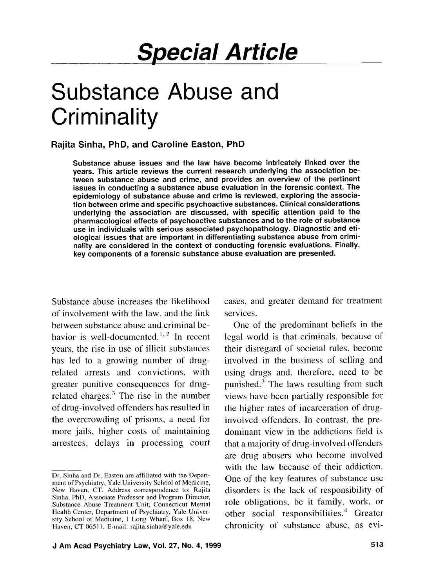## **Rajita Sinha, PhD, and Caroline Easton, PhD**

Substance abuse issues and the law have become intricately linked over the years. This article reviews the current research underlying the association between substance abuse and crime, and provides an overview of the pertinent issues in conducting a substance abuse evaluation in the forensic context. The epidemiology of substance abuse and crime is reviewed, exploring the association between crime and specific psychoactive substances. Clinical considerations underlying the association are discussed, with specific attention paid to the pharmacological effects of psychoactive substances and to the role of substance use in individuals with serious associated psychopathology. Diagnostic and etiological issues that are important in differentiating substance abuse from criminality are considered in the context of conducting forensic evaluations. Finally, key components of a forensic substance abuse evaluation are presented.

Substance abuse increases the likelihood of involvement with the law, and the link between substance abuse and criminal behavior is well-documented.<sup>1, 2</sup> In recent years, the rise in use of illicit substances has led to a growing number of drugrelated arrests and convictions, with greater punitive consequences for drugrelated charges. $3$  The rise in the number of drug-involved offenders has resulted in the overcrowding of prisons, a need for more jails, higher costs of maintaining arrestees, delays in processing court cases, and greater demand for treatment services.

One of the predominant beliefs in the legal world is that criminals, because of their disregard of societal rules. become involved in the business of selling and using drugs and, therefore, need to be punished.3 The laws resulting from such views have been partially responsible for the higher rates of incarceration of druginvolved offenders. In contrast, the predominant view in the addictions field is that a majority of drug-involved offenders are drug abusers who become involved with the law because of their addiction. One of the key features of substance use disorders is the lack of responsibility of role obligations, be it family, work, or other social responsibilities. $4$  Greater chronicity of substance abuse, as evi-

Dr. Sinha and Dr. Easton are affiliated with the Department of Psychiatry, Yale University School of Medicine, New Haven, CT. Address correspondence to: Rajita Sinha, PhD, Associate Professor and Program Director, Substance Abuse Treatment Unit, Connecticut Mental Health Center, Department of Psychiatry, Yale University School of Medicine, 1 Long Wharf, Box 18, New Haven, CT 06511. E-mail: rajita.sinha@yale.edu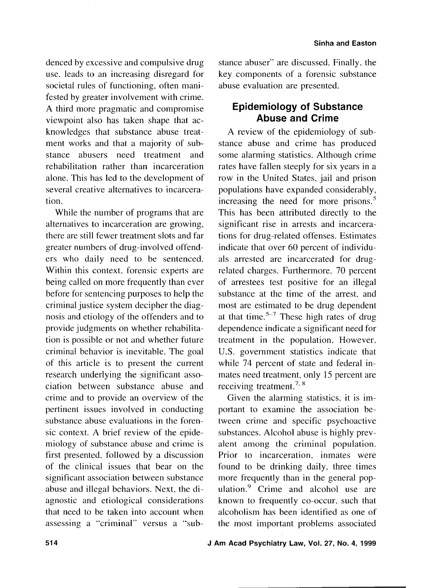denced by excessive and compulsive drug use, leads to an increasing disregard for societal rules of functioning, often manifested by greater involvement with crime. A third more pragmatic and compromise viewpoint also has taken shape that acknowledges that substance abuse treatment works and that a majority of substance abusers need treatment and rehabilitation rather than incarceration alone. This has led to the development of several creative alternatives to incarceration.

While the number of programs that are alternatives to incarceration are growing, there are still fewer treatment slots and far greater numbers of drug-involved offenders who daily need to be sentenced. Within this context, forensic experts are being called on more frequently than ever before for sentencing purposes to help the criminal justice system decipher the diagnosis and etiology of the offenders and to provide judgments on whether rehabilitation is possible or not and whether future criminal behavior is inevitable. The goal of this article is to present the current research underlying the significant association between substance abuse and crime and to provide an overview of the pertinent issues involved in conducting substance abuse evaluations in the forensic context. A brief review of the epidemiology of substance abuse and crime is first presented. followed by a discussion of the clinical issues that bear on the significant association between substance abuse and illegal behaviors. Next, the diagnostic and etiological considerations that need to be taken into account when assessing a "criminal" versus a "substance abuser" are discussed. Finally, the key components of a forensic substance abuse evaluation are presented.

## **Epidemiology of Substance Abuse and Crime**

A review of the epidemiology of substance abuse and crime has produced some alarming statistics. Although crime rates have fallen steeply for six years in a row in the United States, jail and prison populations have expanded considerably, increasing the need for more prisons.<sup>5</sup> This has been attributed directly to the significant rise in arrests and incarcerations for drug-related offenses. Estimates indicate that over 60 percent of individuals arrested are incarcerated for drugrelated charges. Furthermore, 70 percent of arrestees test positive for an illegal substance at the time of the arrest, and most are estimated to be drug dependent at that time.<sup>5-7</sup> These high rates of drug dependence indicate a significant need for treatment in the population. However. U.S. government statistics indicate that while 74 percent of state and federal inmates need treatment. only 15 percent are receiving treatment.<sup>7, 8</sup>

Given the alarming statistics, it is important to examine the association between crime and specific psychoactive substances. Alcohol abuse is highly prevalent among the criminal population. Prior to incarceration. inmates were found to be drinking daily, three times more frequently than in the general population. $9$  Crime and alcohol use are known to frequently co-occur. such that alcoholism has been identified as one of the most important problems associated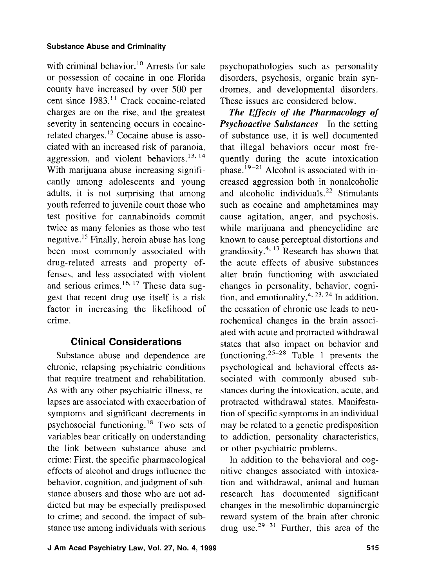with criminal behavior.<sup>10</sup> Arrests for sale or possession of cocaine in one Florida county have increased by over 500 percent since 1983.<sup>11</sup> Crack cocaine-related charges are on the rise, and the greatest severity in sentencing occurs in cocainerelated charges.<sup>12</sup> Cocaine abuse is associated with an increased risk of paranoia, aggression, and violent behaviors.<sup>13, 14</sup> With marijuana abuse increasing significantly among adolescents and young adults, it is not surprising that among youth referred to juvenile court those who test positive for cannabinoids commit twice as many felonies as those who test negative.<sup>15</sup> Finally, heroin abuse has long been most commonly associated with drug-related arrests and property offenses, and less associated with violent and serious crimes.<sup>16, 17</sup> These data suggest that recent drug use itself is a risk factor in increasing the likelihood of crime.

## **Clinical Considerations**

Substance abuse and dependence are chronic, relapsing psychiatric conditions that require treatment and rehabilitation. As with any other psychiatric illness, relapses are associated with exacerbation of symptoms and significant decrements in psychosocial functioning.<sup>18</sup> Two sets of variables bear critically on understanding the link between substance abuse and crime: First, the specific pharmacological effects of alcohol and drugs influence the behavior, cognition. and judgment of substance abusers and those who are not addicted but may be especially predisposed to crime; and second, the impact of substance use among individuals with serious

**J Am Acad Psychiatry Law, Vol. 27, No. 4, 1999 515 615 616** 

psychopathologies such as personality disorders, psychosis, organic brain syndromes, and developmental disorders. These issues are considered below.

*The Effects of the Pharmacology of Psychoactive Substances* In the setting of substance use, it is well documented that illegal behaviors occur most frequently during the acute intoxication phase.<sup>19-21</sup> Alcohol is associated with increased aggression both in nonalcoholic and alcoholic individuals.<sup>22</sup> Stimulants such as cocaine and amphetamines may cause agitation, anger, and psychosis, while marijuana and phencyclidine are known to cause perceptual distortions and grandiosity. $4, 13$  Research has shown that the acute effects of abusive substances alter brain functioning with associated changes in personality, behavior. cognition, and emotionality.<sup>4, 23, 24</sup> In addition, the cessation of chronic use leads to neurochemical changes in the brain associated with acute and protracted withdrawal states that also impact on behavior and functioning.<sup>25-28</sup> Table 1 presents the psychological and behavioral effects associated with commonly abused substances during the intoxication, acute, and protracted withdrawal states. Manifestation of specific symptoms in an individual may be related to a genetic predisposition to addiction, personality characteristics, or other psychiatric problems.

In addition to the behavioral and cognitive changes associated with intoxication and withdrawal, animal and human research has documented significant changes in the mesolimbic dopaminergic reward system of the brain after chronic drug use.<sup>29-31</sup> Further, this area of the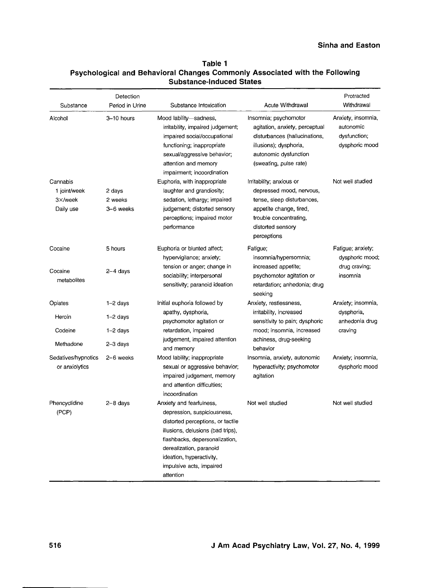### **Sinha and Easton**

## **Table 1 Psychological and Behavioral Changes Commonly Associated with the Following**  Table 1<br>Psychological and Behavioral Changes Commonly Ass<br>Substance-Induced States<br>Detection

| Substance                                        | Detection<br>Period in Urine   | Substance Intoxication                                                                                                                                                                                                                                              | <b>Acute Withdrawal</b>                                                                                                                                                     | Protracted<br>Withdrawal                                          |
|--------------------------------------------------|--------------------------------|---------------------------------------------------------------------------------------------------------------------------------------------------------------------------------------------------------------------------------------------------------------------|-----------------------------------------------------------------------------------------------------------------------------------------------------------------------------|-------------------------------------------------------------------|
| Alcohol<br>3-10 hours                            |                                | Mood lability-sadness,<br>irritability, impaired judgement;<br>impaired social/occupational<br>functioning; inappropriate<br>sexual/aggressive behavior;<br>attention and memory<br>impairment; incoordination                                                      | Insomnia; psychomotor<br>agitation, anxiety, perceptual<br>disturbances (hallucinations,<br>illusions); dysphoria,<br>autonomic dysfunction<br>(sweating, pulse rate)       | Anxiety, insomnia,<br>autonomic<br>dysfunction;<br>dysphoric mood |
| Cannabis<br>1 joint/week<br>3×/week<br>Daily use | 2 days<br>2 weeks<br>3-6 weeks | Euphoria, with inappropriate<br>laughter and grandiosity;<br>sedation, lethargy; impaired<br>judgement; distorted sensory<br>perceptions; impaired motor<br>performance                                                                                             | Irritability; anxious or<br>depressed mood, nervous,<br>tense, sleep disturbances,<br>appetite change, tired,<br>trouble concentrating,<br>distorted sensory<br>perceptions | Not well studied                                                  |
| Cocaine<br>Cocaine<br>metabolites                | 5 hours<br>$2-4$ days          | Euphoria or blunted affect;<br>hypervigilance; anxiety;<br>tension or anger; change in<br>sociability; interpersonal<br>sensitivity; paranoid ideation                                                                                                              | Fatigue;<br>insomnia/hypersomnia;<br>increased appetite;<br>psychomotor agitation or<br>retardation; anhedonia; drug<br>seeking                                             | Fatigue; anxiety;<br>dysphoric mood;<br>drug craving;<br>insomnia |
| Opiates<br>Heroin                                | $1-2$ days<br>$1-2$ days       | Initial euphoria followed by<br>apathy, dysphoria,<br>psychomotor agitation or                                                                                                                                                                                      | Anxiety, restlessness,<br>irritability, increased<br>sensitivity to pain; dysphoric                                                                                         | Anxiety; insomnia,<br>dysphoria,<br>anhedonia drug<br>craving     |
| Codeine<br>Methadone                             | $1-2$ days<br>2-3 days         | retardation, impaired<br>judgement, impaired attention<br>and memory                                                                                                                                                                                                | mood; insomnia, increased<br>achiness, drug-seeking<br>behavior                                                                                                             |                                                                   |
| Sedatives/hypnotics<br>or anxiolytics            | 2-6 weeks                      | Mood lability; inappropriate<br>sexual or aggressive behavior;<br>impaired judgement, memory<br>and attention difficulties:<br>incoordination                                                                                                                       | Insomnia, anxiety, autonomic<br>hyperactivity; psychomotor<br>agitation                                                                                                     | Anxiety; insomnia,<br>dysphoric mood                              |
| Phencyclidine<br>(PCP)                           | $2 - 8$ days                   | Anxiety and fearfulness,<br>depression, suspiciousness,<br>distorted perceptions, or tactile<br>illusions, delusions (bad trips),<br>flashbacks, depersonalization,<br>derealization, paranoid<br>ideation, hyperactivity,<br>impulsive acts, impaired<br>attention | Not well studied                                                                                                                                                            | Not well studied                                                  |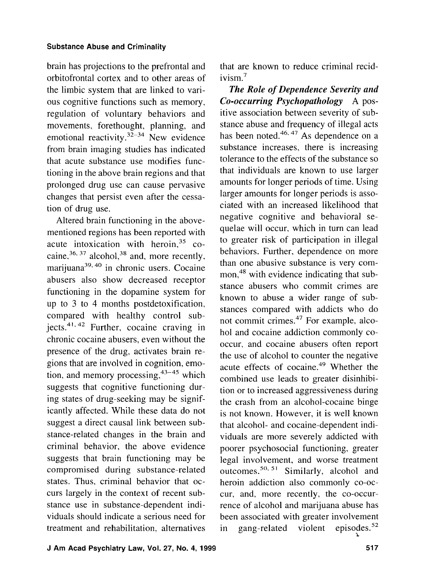brain has projections to the prefrontal and orbitofrontal cortex and to other areas of the limbic system that are linked to various cognitive functions such as memory, regulation of voluntary behaviors and movements. forethought, planning, and emotional reactivity.<sup>32-34</sup> New evidence from brain imaging studies has indicated that acute substance use modifies functioning in the above brain regions and that prolonged drug use can cause pervasive changes that persist even after the cessation of drug use.

Altered brain functioning in the abovementioned regions has been reported with acute intoxication with heroin, $35$  cocaine.<sup>36, 37</sup> alcohol.<sup>38</sup> and, more recently, marijuana $39,40$  in chronic users. Cocaine abusers also show decreased receptor functioning in the dopamine system for up to 3 to 4 months postdetoxification, compared with healthy control subjects. $41, 42$  Further, cocaine craving in chronic cocaine abusers, even without the presence of the drug, activates brain regions that are involved in cognition, emotion, and memory processing,  $43-45$  which suggests that cognitive functioning during states of drug-seeking may be significantly affected. While these data do not suggest a direct causal link between substance-related changes in the brain and criminal behavior, the above evidence suggests that brain functioning may be compromised during substance-related states. Thus, criminal behavior that occurs largely in the context of recent substance use in substance-dependent individuals should indicate a serious need for treatment and rehabilitation. alternatives

that are known to reduce criminal recidivism.<sup>7</sup>

*The Role of Dependence Severity and Co-occurring Psychopathology* A positive association between severity of substance abuse and frequency of illegal acts has been noted.<sup>46, 47</sup> As dependence on a substance increases, there is increasing tolerance to the effects of the substance so that individuals are known to use larger amounts for longer periods of time. Using larger amounts for longer periods is associated with an increased likelihood that negative cognitive and behavioral sequelae will occur, which in turn can lead to greater risk of participation in illegal behaviors. Further, dependence on more than one abusive substance is very common,<sup>48</sup> with evidence indicating that substance abusers who commit crimes are known to abuse a wider range of substances compared with addicts who do not commit crimes.47 For example, alcohol and cocaine addiction commonly cooccur, and cocaine abusers often report the use of alcohol to counter the negative acute effects of cocaine.<sup>49</sup> Whether the combined use leads to greater disinhibition or to increased aggressiveness during the crash from an alcohol-cocaine binge is not known. However, it is well known that alcohol- and cocaine-dependent individuals are more severely addicted with poorer psychosocial functioning, greater legal involvement, and worse treatment outcomes.<sup>50, 51</sup> Similarly, alcohol and heroin addiction also commonly co-occur, and, more recently, the co-occurrence of alcohol and marijuana abuse has been associated with greater involvement in gang-related violent episodes.<sup>52</sup>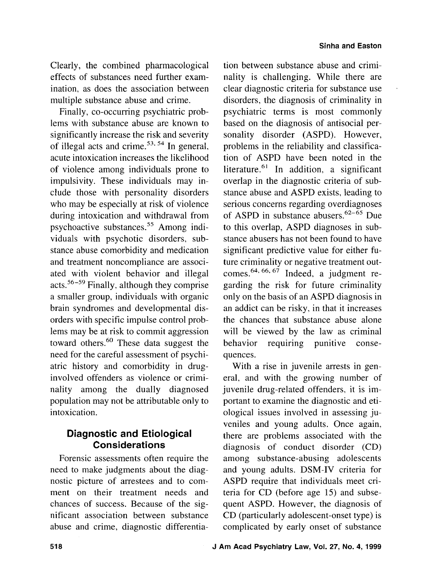Clearly, the combined pharmacological effects of substances need further examination, as does the association between multiple substance abuse and crime.

Finally, co-occurring psychiatric problems with substance abuse are known to significantly increase the risk and severity of illegal acts and crime.53. 54 In general, acute intoxication increases the likelihood of violence among individuals prone to impulsivity. These individuals may include those with personality disorders who may be especially at risk of violence during intoxication and withdrawal from psychoactive substances.<sup>55</sup> Among individuals with psychotic disorders, substance abuse comorbidity and medication and treatment noncompliance are associated with violent behavior and illegal acts.<sup>56-59</sup> Finally, although they comprise a smaller group, individuals with organic brain syndromes and developmental disorders with specific impulse control problems may be at risk to commit aggression toward others.<sup>60</sup> These data suggest the need for the careful assessment of psychiatric history and comorbidity in druginvolved offenders as violence or criminality among the dually diagnosed population may not be attributable only to intoxication.

## **Diagnostic and Etiological Considerations**

Forensic assessments often require the need to make judgments about the diagnostic picture of arrestees and to comment on their treatment needs and chances of success. Because of the significant association between substance abuse and crime, diagnostic differentiation between substance abuse and criminality is challenging. While there are clear diagnostic criteria for substance use disorders, the diagnosis of criminality in psychiatric terms is most commonly based on the diagnosis of antisocial personality disorder (ASPD). However, problems in the reliability and classification of ASPD have been noted in the literature. $61$  In addition, a significant overlap in the diagnostic criteria of substance abuse and ASPD exists, leading to serious concerns regarding overdiagnoses of ASPD in substance abusers.<sup>62-65</sup> Due to this overlap, ASPD diagnoses in substance abusers has not been found to have significant predictive value for either future criminality or negative treatment outcomes.<sup>64, 66, 67</sup> Indeed, a judgment regarding the risk for future criminality only on the basis of an ASPD diagnosis in an addict can be risky, in that it increases the chances that substance abuse alone will be viewed by the law as criminal behavior requiring punitive consequences.

With a rise in juvenile arrests in general, and with the growing number of juvenile drug-related offenders. it is important to examine the diagnostic and etiological issues involved in assessing juveniles and young adults. Once again, there are problems associated with the diagnosis of conduct disorder (CD) among substance-abusing adolescents and young adults. DSM-IV criteria for ASPD require that individuals meet criteria for CD (before age 15) and subsequent ASPD. However, the diagnosis of CD (particularly adolescent-onset type) is complicated by early onset of substance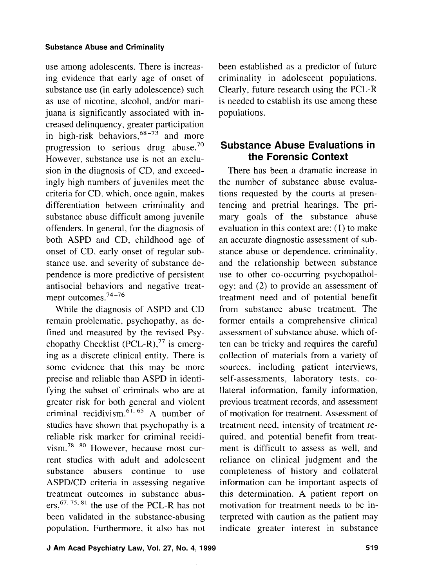use among adolescents. There is increasing evidence that early age of onset of substance use (in early adolescence) such as use of nicotine, alcohol, and/or marijuana is significantly associated with increased delinquency, greater participation in high-risk behaviors,  $68-73$  and more progression to serious drug abuse.70 However, substance use is not an exclusion in the diagnosis of CD, and exceedingly high numbers of juveniles meet the criteria for CD. which, once again, makes differentiation between criminality and substance abuse difficult among juvenile offenders. In general, for the diagnosis of both ASPD and CD, childhood age of onset of CD, early onset of regular substance use. and severity of substance dependence is more predictive of persistent antisocial behaviors and negative treatment outcomes. $74-76$ 

While the diagnosis of ASPD and CD remain problematic, psychopathy, as defined and measured by the revised Psychopathy Checklist  $(PCL-R),$ <sup>77</sup> is emerging as a discrete clinical entity. There is some evidence that this may be more precise and reliable than ASPD in identifying the subset of criminals who are at greater risk for both general and violent criminal recidivism.<sup>61, 65</sup> A number of studies have shown that psychopathy is a reliable risk marker for criminal recidi  $vism.^{78-80}$  However, because most current studies with adult and adolescent substance abusers continue to use ASPD/CD criteria in assessing negative treatment outcomes in substance abusers,  $67, 75, 81$  the use of the PCL-R has not been validated in the substance-abusing population. Furthermore, it also has not been established as a predictor of future criminality in adolescent populations. Clearly, future research using the PCL-R is needed to establish its use among these populations.

## **Substance Abuse Evaluations in the Forensic Context**

There has been a dramatic increase in the number of substance abuse evaluations requested by the courts at presentencing and pretrial hearings. The primary goals of the substance abuse evaluation in this context are: (I) to make an accurate diagnostic assessment of substance abuse or dependence. criminality, and the relationship between substance use to other co-occurring psychopathology; and (2) to provide an assessment of treatment need and of potential benefit from substance abuse treatment. The former entails a comprehensive clinical assessment of substance abuse, which often can be tricky and requires the careful collection of materials from a variety of sources, including patient interviews, self-assessments. laboratory tests. collateral information, family information, previous treatment records, and assessment of motivation for treatment. Assessment of treatment need, intensity of treatment required. and potential benefit from treatment is difficult to assess as well, and reliance on clinical judgment and the completeness of history and collateral information can be important aspects of this determination. **A** patient report on motivation for treatment needs to be interpreted with caution as the patient may indicate greater interest in substance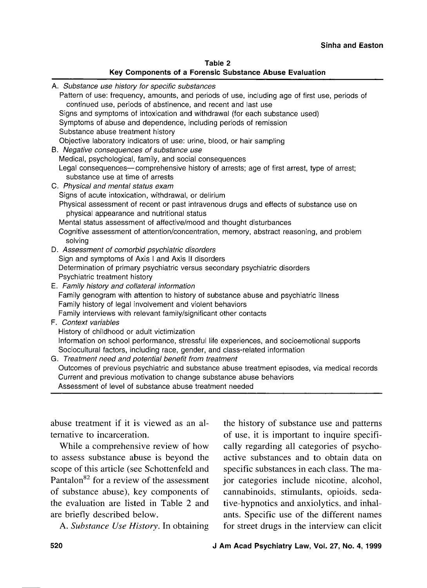|                                                         | Table 2 |  |  |
|---------------------------------------------------------|---------|--|--|
| Key Components of a Forensic Substance Abuse Evaluation |         |  |  |

| A. Substance use history for specific substances                                                                                      |
|---------------------------------------------------------------------------------------------------------------------------------------|
| Pattern of use: frequency, amounts, and periods of use, including age of first use, periods of                                        |
| continued use, periods of abstinence, and recent and last use                                                                         |
| Signs and symptoms of intoxication and withdrawal (for each substance used)                                                           |
| Symptoms of abuse and dependence, including periods of remission                                                                      |
| Substance abuse treatment history                                                                                                     |
| Objective laboratory indicators of use: urine, blood, or hair sampling                                                                |
| B. Negative consequences of substance use                                                                                             |
| Medical, psychological, family, and social consequences                                                                               |
| Legal consequences—comprehensive history of arrests; age of first arrest, type of arrest;                                             |
| substance use at time of arrests                                                                                                      |
| C. Physical and mental status exam                                                                                                    |
| Signs of acute intoxication, withdrawal, or delirium                                                                                  |
| Physical assessment of recent or past intravenous drugs and effects of substance use on<br>physical appearance and nutritional status |
| Mental status assessment of affective/mood and thought disturbances                                                                   |
| Cognitive assessment of attention/concentration, memory, abstract reasoning, and problem<br>solving                                   |
| D. Assessment of comorbid psychiatric disorders                                                                                       |
| Sign and symptoms of Axis I and Axis II disorders                                                                                     |
| Determination of primary psychiatric versus secondary psychiatric disorders                                                           |
| Psychiatric treatment history                                                                                                         |
| E. Family history and collateral information                                                                                          |
| Family genogram with attention to history of substance abuse and psychiatric illness                                                  |
| Family history of legal involvement and violent behaviors                                                                             |
| Family interviews with relevant family/significant other contacts                                                                     |
| F. Context variables                                                                                                                  |
| History of childhood or adult victimization                                                                                           |
| Information on school performance, stressful life experiences, and socioemotional supports                                            |
| Sociocultural factors, including race, gender, and class-related information                                                          |
| G. Treatment need and potential benefit from treatment                                                                                |
| Outcomes of previous psychiatric and substance abuse treatment episodes, via medical records                                          |
| Current and previous motivation to change substance abuse behaviors                                                                   |
| Assessment of level of substance abuse treatment needed                                                                               |

abuse treatment if it is viewed as an alternative to incarceration.

While a comprehensive review of how to assess substance abuse is beyond the scope of this article (see Schottenfeld and Pantalon<sup>82</sup> for a review of the assessment of substance abuse), key components of the evaluation are listed in Table 2 and are briefly described below.

*A. Substance Use History.* In obtaining

the history of substance use and patterns of use, it is important to inquire specifically regarding all categories of psychoactive substances and to obtain data on specific substances in each class. The major categories include nicotine, alcohol, cannabinoids, stimulants, opioids, sedative-hypnotics and anxiolytics, and inhalants. Specific use of the different names for street drugs in the interview can elicit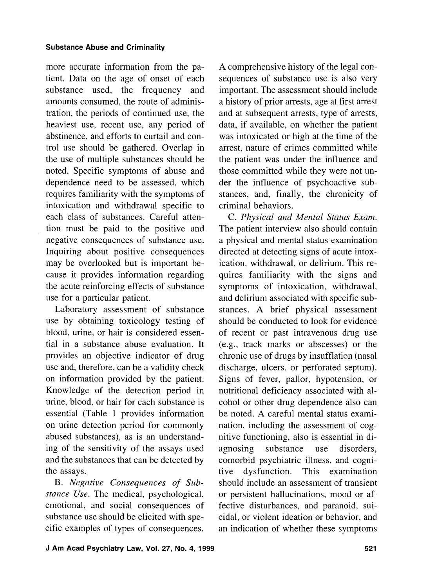more accurate information from the patient. Data on the age of onset of each substance used, the frequency and amounts consumed, the route of administration, the periods of continued use, the heaviest use. recent use, any period of abstinence, and efforts to curtail and control use should be gathered. Overlap in the use of multiple substances should be noted. Specific symptoms of abuse and dependence need to be assessed, which requires familiarity with the symptoms of intoxication and withdrawal specific to each class of substances. Careful attention must be paid to the positive and negative consequences of substance use. Inquiring about positive consequences may be overlooked but is important because it provides information regarding the acute reinforcing effects of substance use for a particular patient.

Laboratory assessment of substance use by obtaining toxicology testing of blood, urine, or hair is considered essential in a substance abuse evaluation. It provides an objective indicator of drug use and, therefore, can be a validity check on information provided by the patient. Knowledge of the detection period in urine, blood, or hair for each substance is essential (Table 1 provides information on urine detection period for commonly abused substances), as is an understanding of the sensitivity of the assays used and the substances that can be detected by the assays.

B. *Negative Consequences of Substance Use.* The medical, psychological, emotional, and social consequences of substance use should be elicited with specific examples of types of consequences.

A comprehensive history of the legal consequences of substance use is also very important. The assessment should include a history of prior arrests, age at first arrest and at subsequent arrests, type of arrests, data, if available, on whether the patient was intoxicated or high at the time of the arrest, nature of crimes committed while the patient was under the influence and those committed while they were not under the influence of psychoactive substances, and, finally, the chronicity of criminal behaviors.

C. Physical and Mental Status Exam. The patient interview also should contain a physical and mental status examination directed at detecting signs of acute intoxication, withdrawal. or delirium. This requires familiarity with the signs and symptoms of intoxication, withdrawal, and delirium associated with specific substances. A brief physical assessment should be conducted to look for evidence of recent or past intravenous drug use (e.g., track marks or abscesses) or the chronic use of drugs by insufflation (nasal discharge, ulcers, or perforated septum). Signs of fever, pallor, hypotension, or nutritional deficiency associated with alcohol or other drug dependence also can be noted. A careful mental status examination, including the assessment of cognitive functioning, also is essential in diagnosing substance use disorders, comorbid psychiatric illness, and cogni-<br>tive dysfunction. This examination tive dysfunction. This examination should include an assessment of transient or persistent hallucinations, mood or affective disturbances, and paranoid, suicidal, or violent ideation or behavior, and an indication of whether these symptoms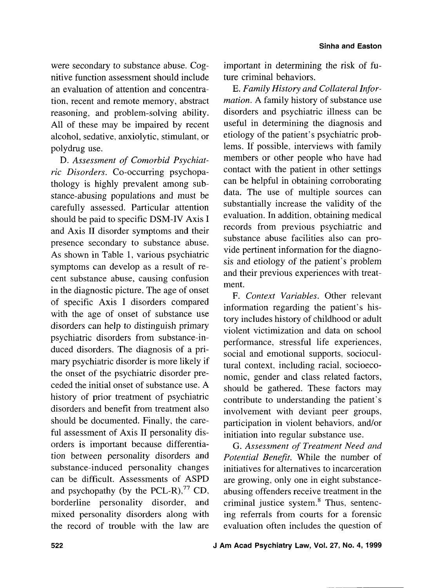were secondary to substance abuse. Cognitive function assessment should include an evaluation of attention and concentration, recent and remote memory, abstract reasoning, and problem-solving ability. All of these may be impaired by recent alcohol, sedative, anxiolytic, stimulant, or polydrug use.

D. *Assessment of Comorbid Psychiatric Disorders.* Co-occurring psychopathology is highly prevalent among substance-abusing populations and must be carefully assessed. Particular attention should be paid to specific DSM-IV Axis I and Axis I1 disorder symptoms and their presence secondary to substance abuse. As shown in Table 1, various psychiatric symptoms can develop as a result of recent substance abuse, causing confusion in the diagnostic picture. The age of onset of specific Axis I disorders compared with the age of onset of substance use disorders can help to distinguish primary psychiatric disorders from substance-induced disorders. The diagnosis of a primary psychiatric disorder is more likely if the onset of the psychiatric disorder preceded the initial onset of substance use. A history of prior treatment of psychiatric disorders and benefit from treatment also should be documented. Finally, the careful assessment of Axis 11 personality disorders is important because differentiation between personality disorders and substance-induced personality changes can be difficult. Assessments of ASPD and psychopathy (by the PCL-R), $^{77}$  CD, borderline personality disorder, and mixed personality disorders along with the record of trouble with the law are important in determining the risk of future criminal behaviors.

E. *Family History and Collateral Information. A* family history of substance use disorders and psychiatric illness can be useful in determining the diagnosis and etiology of the patient's psychiatric problems. If possible, interviews with family members or other people who have had contact with the patient in other settings can be helpful in obtaining corroborating data. The use of multiple sources can substantially increase the validity of the evaluation. In addition, obtaining medical records from previous psychiatric and substance abuse facilities also can provide pertinent information for the diagnosis and etiology of the patient's problem and their previous experiences with treatment.

F. *Context Variables.* Other relevant information regarding the patient's history includes history of childhood or adult violent victimization and data on school performance, stressful life experiences, social and emotional supports. sociocultural context, including racial, socioeconomic, gender and class related factors, should be gathered. These factors may contribute to understanding the patient's involvement with deviant peer groups, participation in violent behaviors, and/or initiation into regular substance use.

G. *Assessment* of *Treatment Need and Potential Benefit.* While the number of initiatives for alternatives to incarceration are growing, only one in eight substanceabusing offenders receive treatment in the criminal justice system.<sup>8</sup> Thus, sentencing referrals from courts for a forensic evaluation often includes the question of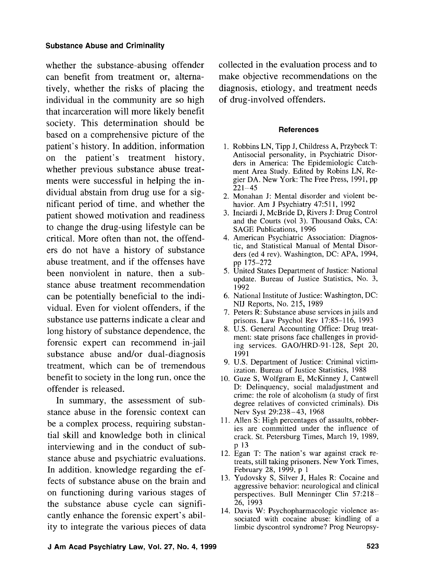whether the substance-abusing offender can benefit from treatment or, alternatively, whether the risks of placing the individual in the community are so high that incarceration will more likely benefit society. This determination should be based on a comprehensive picture of the patient's history. In addition, information on the patient's treatment history, whether previous substance abuse treatments were successful in helping the individual abstain from drug use for a significant period of time, and whether the patient showed motivation and readiness to change the drug-using lifestyle can be critical. More often than not, the offenders do not have a history of substance abuse treatment, and if the offenses have been nonviolent in nature, then a substance abuse treatment recommendation can be potentially beneficial to the indi-<br>6. National Institute of Justice: Washington, DC: Washington, DC: Washington, DC: 215, 1989 vidual. Even for violent offenders, if the NIJ Reports, No. 215, 1989<br>substance use patterns indicate a clear and prisons. Law Psychol Rev 17:85–116, 1993 substance use patterns indicate a clear and<br>long bistory of substance dependence, the and prisons. Law Psychol Rev 17:85–116, 1993<br>and prisons. Law Psychol Rev 17:85–116, 1993 long history of substance dependence, the all S. U.S. General Accounting Office: Drug treat-<br>ment: state prisons face challenges in providforensic expert can recommend in-jail ing services. GAO/HRD-91-128, Sept 20, substance abuse and/or dual-diagnosis 1991 substance abuse and/or dual-diagnosis  $1991$ <br>treatment which can be of tramppedance and U.S. Department of Justice: Criminal victimtreatment, which can be of tremendous benefit to society in the long run, once the offender is released.

stance abuse in the forensic context can  $\frac{\text{Nerv System}}{11}$ . Allen S: High percentages of assaults, robberbe a complex process, requiring substantial skill and knowledge both in clinical crack. St. Petersburg Times, March 19, 1989, interviewing and in the conduct of sub-<br> $p$  13 interviewing and in the conduct of sub-<br> $\frac{p}{13}$ <br>12. Egan T: The nation's war against crack re-12. Egan T: The nation's war against crack re-<br>treats, still taking prisoners. New York Times,<br>In addition, knowledge regarding the ef-<br>February 28, 1999, p 1 In addition, knowledge regarding the ef-<br>february 28, 1999, p 1<br>fects of substance abuse on the brain and 13. Yudovsky S, Silver J, Hales R: Cocaine and fects of substance abuse on the brain and <sup>13.</sup> Yudovsky S, Silver J, Hales R: Cocaine and aggressive behavior: neurological and clinical on functioning during various stages of perspectives. Bull Menninger Clin 57:218-<br>the substance abuse cycle can signifi-<br>26, 1993 the substance abuse cycle can signifi-<br>
26, 1993<br>
14. Davis W: Psychopharmacologic violence as-<br>
14. Davis W: Psychopharmacologic violence as-214. Davis W: Psychopharmacologic violence as-<br>
sociated with cocaine abuse: kindling of a<br>
imbic dyscontrol syndrome? Prog Neuropsyity to integrate the various pieces of data

collected in the evaluation process and to make objective recommendations on the diagnosis, etiology, and treatment needs of drug-involved offenders.

#### **References**

- 1. Robbins LN, Tipp J, Childress A, Przybeck T: Antisocial personality, in Psychiatric Disorders in America: The Epidemiologic Catchment Area Study. Edited by Robins LN, Regier DA. New York: The Free Press, 1991, pp  $221 - 45$
- 2. Monahan J: Mental disorder and violent behavior. Am J Psychiatry 47:511, 1992
- 3. Inciardi J, McBride D, Rivers J: Drug Control and the Courts (vol 3). Thousand Oaks, CA: SAGE Publications, 1996
- 4. American Psychiatric Association: Diagnostic, and Statistical Manual of Mental Disorders (ed 4 rev). Washington, DC: APA, 1994, pp 175-272
- 5. United States Department of Justice: National update. Bureau of Justice Statistics, No. 3, 1992<br>6. National Institute of Justice: Washington, DC:
- 
- 
- 
- ization. Bureau of Justice Statistics, 1988<br>10. Guze S, Wolfgram E, McKinney J, Cantwell
- D: Delinquency, social maladjustment and crime: the role of alcoholism (a study of first In summary, the assessment of sub-<br>degree relatives of convicted criminals). Dis
	- ies are committed under the influence of
	-
	-
	-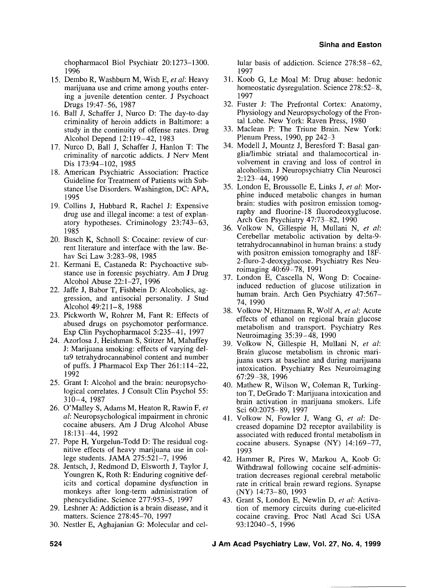chopharmacol Biol Psychiatr 20:1273-1300. 1996

- 15. Dembo R, Washburn M, Wish E, *et* al: Heavy marijuana use and crime among youths entering a juvenile detention center. J Psychoact Drugs 19:47-56, 1987
- 16. Ball J, Schaffer J, Nurco D: The day-to-day criminality of heroin addicts in Baltimore: a study in the continuity of offense rates. Drug Alcohol Depend 12: 119-42, 1983
- 17. Nurco D, Ball J, Schaffer J, Hanlon T: The criminality of narcotic addicts. J Nerv Ment Dis 173:94-102, 1985
- 18. American Psychiatric Association: Practice Guideline for Treatment of Patients with Substance Use Disorders. Washington, DC: APA, 1995
- 19. Collins J, Hubbard R, Rachel J: Expensive drug use and illegal income: a test of explanatory hypotheses. Criminology 23:743-63, 1985
- 20. Busch K, Schnoll S: Cocaine: review of current literature and interface with the law. Behav Sci Law 3:283-98, 1985
- 21. Kermani E, Castaneda R: Psychoactive substance use in forensic psychiatry. Am J Drug Alcohol Abuse 22: 1-27, 1996
- 22. Jaffe J, Babor T, Fishbein D: Alcoholics, aggression, and antisocial personality. J Stud Alcohol 49:211-8, 1988
- 23. Pickworth W, Rohrer M, Fant R: Effects of abused drugs on psychomotor performance. Exp Clin Psychopharmacol 5:235-41, 1997
- 24. Azorlosa J, Heishman S, Stitzer M, Mahaffey J: Marijuana smoking: effects of varying delta9 tetrahydrocannabinol content and number of puffs. J Pharmacol Exp Ther 261: 114-22, 1992
- 25. Grant I: Alcohol and the brain: neuropsychological correlates. J Consult Clin Psychol 55: 310-4, 1987
- 26. O'Malley S, Adams M, Heaton R, Rawin F, *et*  al: Neuropsychological impairment in chronic cocaine abusers. Am J Drug Alcohol Abuse 18:131-44, 1992
- 27. Pope H, Yurgelun-Todd D: The residual cognitive effects of heavy marijuana use in college students. JAMA 275:521-7, 1996
- 28. Jentsch, J, Redmond D, Elsworth J, Taylor J, Youngren K, Roth R: Enduring cognitive deficits and cortical dopamine dysfunction in monkeys after long-term administration of phencyclidine. Science 277:953-5, 1997
- 29. Leshner A: Addiction is a brain disease, and it matters. Science 278:45-70, 1997
- 30. Nestler E, Aghajanian G: Molecular and cel-

lular basis of addiction. Science  $278:58-62$ , 1997

- 31. Koob G, Le Moal M: Drug abuse: hedonic homeostatic dysregulation. Science 278:52-8, 1997
- 32. Fuster J: The Prefrontal Cortex: Anatomy, Physiology and Neuropsychology of the Frontal Lobe. New York: Raven Press, 1980
- 33. Maclean P: The Triune Brain. New York: Plenum Press, 1990, pp 242-3
- 34. Modell J, Mountz J, Beresford T: Basal ganglia/limbic striatal and thalamocortical involvement in craving and loss of control in alcoholism. J Neuropsychiatry Clin Neurosci 2: 123-44, 1990
- 35. London E, Broussolle E, Links J, *et* al: Morphine induced metabolic changes in human brain: studies with positron emission tomography and fluorine-18 fluorodeoxyglucose. Arch Gen Psychiatry 47:73-82, 1990
- 36. Volkow N, Gillespie H, Mullani N, *et* al: Cerebellar metabolic activation by delta-9 tetrahydrocannabinol in human brains: a study with positron emission tomography and 18F-2-fluro-2-deoxyglucose. Psychiatry Res Neuroimaging 4O:69 -78, 199 1
- 37. London E, Cascella N, Wong D: Cocaineinduced reduction of glucose utilization in human brain. Arch Gen Psychiatry 47:567-74, 1990
- 38. Volkow N, Hitzmann R, Wolf A, *et* a/: Acute effects of ethanol on regional brain glucose metabolism and transport. Psychiatry Res Neuroimaging 35:39 -48, 1990
- 39. Volkow N, Gillespie H, Mullani N, *et* al: Brain glucose metabolism in chronic marijuana users at baseline and during marijuana intoxication. Psychiatry Res Neuroimaging 67:29-38, 1996
- 40. Mathew R, Wilson W, Coleman R, Turkington T, DeGrado T: Marijuana intoxication and brain activation in marijuana smokers. Life Sci 60:2075-89, 1997
- 41. Volkow N, Fowler J, Wang G, *et* al: Decreased dopamine D2 receptor availability is associated with reduced frontal metabolism in cocaine abusers. Synapse (NY) 14:169-77, 1993
- 42. Hammer R, Pires W, Markou A, Koob G: Withdrawal following cocaine self-administration decreases regional cerebral metabolic rate in critical brain reward regions. Synapse (NY) 14:73-80, 1993
- 43. Grant S, London E, Newlin D, *et* a/: Activation of memory circuits during cue-elicited cocaine craving. Proc Natl Acad Sci USA 93: 12040-5, 1996

**524 J Am Acad Psychiatry Law, Vol. 27, No. 4, 1999**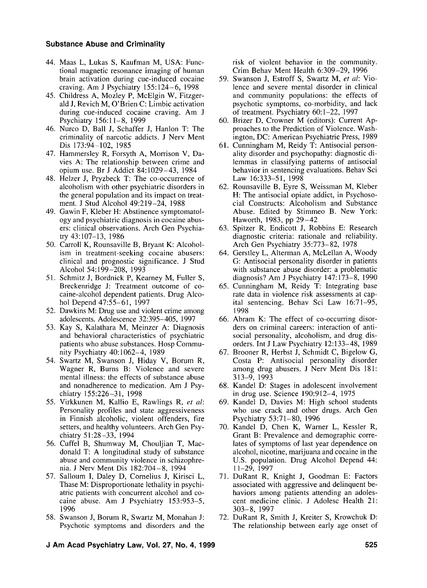- 44. Maas L, Lukas S, Kaufman M, USA: Functional magnetic resonance imaging of human brain activation during cue-induced cocaine craving. Am J Psychiatry 155: 124-6, 1998
- 45. Childress A, Mozley P, McElgin W, Fitzgerald J, Revich M, O'Brien C: Limbic activation during cue-induced cocaine craving. Am J Psychiatry 156:l 1-8, 1999
- 46. Nurco D, Ball J, Schaffer J, Hanlon T: The criminality of narcotic addicts. J Nerv Ment Dis 173:94-102, 1985
- 47. Hammersley R, Forsyth A, Morrison V, Davies A: The relationship between crime and opium use. Br J Addict 84:1029-43, 1984
- 48. Helzer J, Pryzbeck T: The co-occurrence of alcoholism with other psychiatric disorders in the general population and its impact on treatment. J Stud Alcohol 49:219-24, 1988
- 49. Gawin F, Kleber H: Abstinence symptomatology and psychiatric diagnosis in cocaine abusers: clinical observations. Arch Gen Psychiatry 43: 107-13, 1986
- 50. Carroll K, Rounsaville B, Bryant K: Alcoholism in treatment-seeking cocaine abusers: clinical and prognostic significance. J Stud Alcohol 54: 199-208, 1993
- 51. Schmitz J, Bordnick P, Kearney M, Fuller S, Breckenridge J: Treatment outcome of cocaine-alcohol dependent patients. Drug Alcohol Depend 47:55-61, 1997
- 52. Dawkins M: Drug use and violent crime among adolescents. Adolescence 32:395-405, 1997
- 53. Kay S, Kalathara M, Meinzer A: Diagnosis and behavioral characteristics of psychiatric patients who abuse substances. Hosp Community Psychiatry 40: 1062-4, 1989
- 54. Swartz M, Swanson J, Hiday V, Borum R, Wagner R, Burns B: Violence and severe mental illness: the effects of substance abuse and nonadherence to medication. Am J Psychiatry 155:226-3 1, 1998
- 55. Virkkunen M, Kallio E, Rawlings R, *et* nl: Personality profiles and state aggressiveness in Finnish alcoholic, violent offenders, fire setters, and healthy volunteers. Arch Gen Psychiatry 5 1:28-33, 1994
- 56. Cuffel B, Shumway M, Chouljian T, Macdonald T: A longitudinal study of substance abuse and community violence in schizophrenia. J Nerv Ment Dis 182:704-8, 1994
- 57. Salloum I, Daley D, Cornelius J, Kirisci L, Thase M: Disproportionate lethality in psychiatric patients with concurrent alcohol and cocaine abuse. Am J Psychiatry 153:953-5, 1996
- 58. Swanson J, Borum R, Swartz M, Monahan J: Psychotic symptoms and disorders and the

risk of violent behavior in the community. Crim Behav Ment Health 6:309-29, 1996

- 59. Swanson J, Estroff S, Swartz M, *et* nl: Violence and severe mental disorder in clinical and community populations: the effects of psychotic symptoms, co-morbidity, and lack of treatment. Psychiatry 60: 1-22, I997
- 60. Brizer D, Crowner M (editors): Current Approaches to the Prediction of Violence. Washington, DC: American Psychiatric Press, 1989
- 61. Cunningham M, Reidy T: Antisocial personality disorder and psychopathy: diagnostic dilemmas in classifying patterns of antisocial behavior in sentencing evaluations. Behav Sci Law 16:333-51, 1998
- 62. Rounsaville B, Eyre S, Weissman M, Kleber H: The antisocial opiate addict, in Psychosocia1 Constructs: Alcoholism and Substance Abuse. Edited by Stimmeo B. New York: Haworth, 1983, pp 29-42
- 63. Spitzer R, Endicott J, Robbins E: Research diagnostic criteria: rationale and reliability. Arch Gen Psychiatry 35:773-82, 1978
- 64. Gerstley L, Alterman A, McLellan A, Woody G: Antisocial personality disorder in patients with substance abuse disorder: a problematic diagnosis? Am J Psychiatry 147:173-8, 1990
- 65. Cunningham M, Reidy T: Integrating base rate data in violence risk assessments at capital sentencing. Behav Sci Law 16:71-95, 1998
- 66. Abram K: The effect of co-occurring disorders on criminal careers: interaction of antisocial personality, alcoholism, and drug disorders. Int J Law Psychiatry 12:133-48, 1989
- 67. Brooner R, Herbst J, Schmidt C, Bigelow G, Costa P: Antisocial personality disorder among drug abusers. J Nerv Ment Dis 181: **3** 13-9, 1993
- 68. Kandel D: Stages in adolescent involvement in drug use. Science 190:912-4, 1975
- 69. Kandel D, Davies M: High school students who use crack and other drugs. Arch Gen Psychiatry 53:7 1-80, 1996
- 70. Kandel D, Chen K, Warner L, Kessler R, Grant B: Prevalence and demographic correlates of symptoms of last year dependence on alcohol, nicotine, marijuana and cocaine in the U.S. population. Drug Alcohol Depend 44: 1 1-29, 1997
- 71. DuRant R, Knight J, Goodman E: Factors associated with aggressive and delinquent behaviors among patients attending an adolescent medicine clinic. J Adolesc Health 21: 303-8, 1997
- 72. DuRant R, Smith J, Kreiter S, Krowchuk D: The relationship between early age onset of
- **J Am Acad Psychiatry Law, Vol. 27, No. 4, 1999 525**